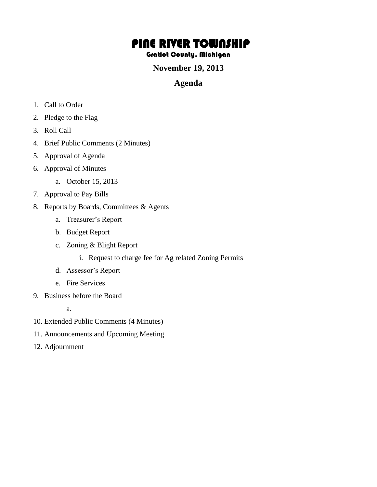# PINE RIVER TOWNSHIP

#### Gratiot County, Michigan

#### **November 19, 2013**

### **Agenda**

- 1. Call to Order
- 2. Pledge to the Flag
- 3. Roll Call
- 4. Brief Public Comments (2 Minutes)
- 5. Approval of Agenda
- 6. Approval of Minutes
	- a. October 15, 2013
- 7. Approval to Pay Bills
- 8. Reports by Boards, Committees & Agents
	- a. Treasurer's Report
	- b. Budget Report
	- c. Zoning & Blight Report
		- i. Request to charge fee for Ag related Zoning Permits
	- d. Assessor's Report
	- e. Fire Services
- 9. Business before the Board
	- a.
- 10. Extended Public Comments (4 Minutes)
- 11. Announcements and Upcoming Meeting
- 12. Adjournment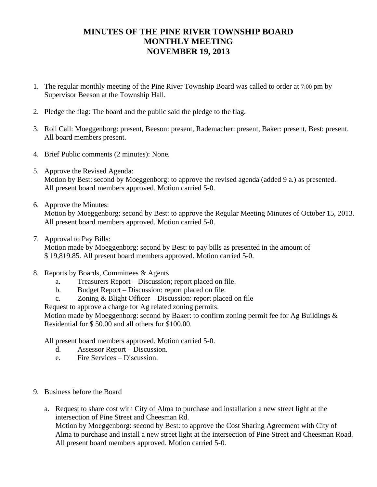## **MINUTES OF THE PINE RIVER TOWNSHIP BOARD MONTHLY MEETING NOVEMBER 19, 2013**

- 1. The regular monthly meeting of the Pine River Township Board was called to order at 7:00 pm by Supervisor Beeson at the Township Hall.
- 2. Pledge the flag: The board and the public said the pledge to the flag.
- 3. Roll Call: Moeggenborg: present, Beeson: present, Rademacher: present, Baker: present, Best: present. All board members present.
- 4. Brief Public comments (2 minutes): None.
- 5. Approve the Revised Agenda: Motion by Best: second by Moeggenborg: to approve the revised agenda (added 9 a.) as presented. All present board members approved. Motion carried 5-0.
- 6. Approve the Minutes:

Motion by Moeggenborg: second by Best: to approve the Regular Meeting Minutes of October 15, 2013. All present board members approved. Motion carried 5-0.

7. Approval to Pay Bills:

Motion made by Moeggenborg: second by Best: to pay bills as presented in the amount of \$ 19,819.85. All present board members approved. Motion carried 5-0.

- 8. Reports by Boards, Committees & Agents
	- a. Treasurers Report Discussion; report placed on file.
	- b. Budget Report Discussion: report placed on file.
	- c. Zoning & Blight Officer Discussion: report placed on file

Request to approve a charge for Ag related zoning permits.

Motion made by Moeggenborg: second by Baker: to confirm zoning permit fee for Ag Buildings & Residential for \$ 50.00 and all others for \$100.00.

All present board members approved. Motion carried 5-0.

- d. Assessor Report Discussion.
- e. Fire Services Discussion.
- 9. Business before the Board
	- a. Request to share cost with City of Alma to purchase and installation a new street light at the intersection of Pine Street and Cheesman Rd. Motion by Moeggenborg: second by Best: to approve the Cost Sharing Agreement with City of Alma to purchase and install a new street light at the intersection of Pine Street and Cheesman Road. All present board members approved. Motion carried 5-0.